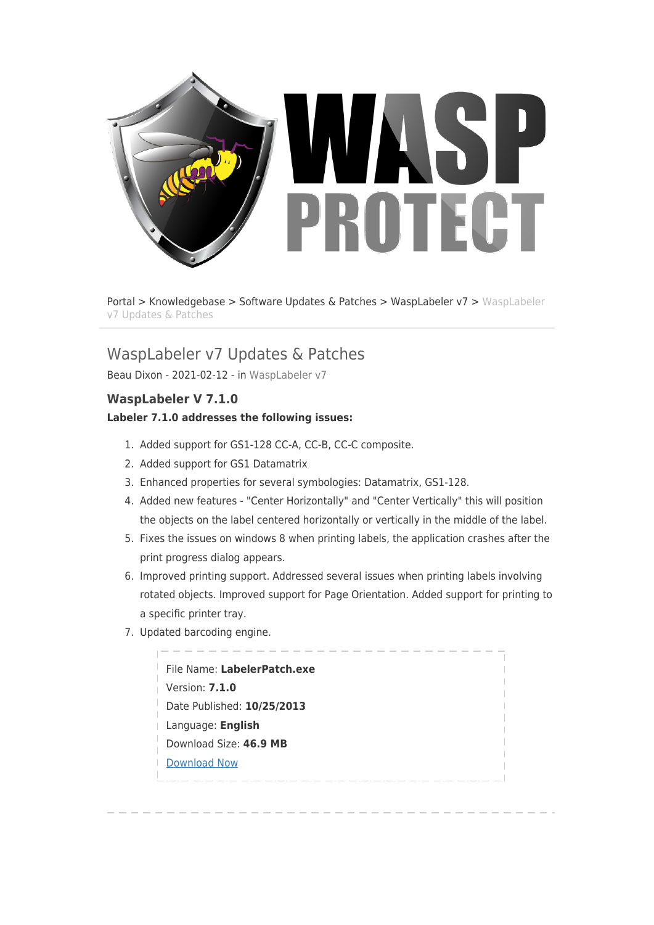

[Portal](http://support.waspbarcode.com/) > [Knowledgebase](http://support.waspbarcode.com/kb) > [Software Updates & Patches](http://support.waspbarcode.com/kb/software-updates-patches) > [WaspLabeler v7](http://support.waspbarcode.com/kb/wasplabeler-v7) > [WaspLabeler](http://support.waspbarcode.com/kb/articles/wasplabeler-v7-updates-patches) [v7 Updates & Patches](http://support.waspbarcode.com/kb/articles/wasplabeler-v7-updates-patches)

# WaspLabeler v7 Updates & Patches

Beau Dixon - 2021-02-12 - in [WaspLabeler v7](http://support.waspbarcode.com/kb/wasplabeler-v7)

# **WaspLabeler V 7.1.0**

### **Labeler 7.1.0 addresses the following issues:**

- 1. Added support for GS1-128 CC-A, CC-B, CC-C composite.
- 2. Added support for GS1 Datamatrix
- 3. Enhanced properties for several symbologies: Datamatrix, GS1-128.
- 4. Added new features "Center Horizontally" and "Center Vertically" this will position the objects on the label centered horizontally or vertically in the middle of the label.
- 5. Fixes the issues on windows 8 when printing labels, the application crashes after the print progress dialog appears.
- 6. Improved printing support. Addressed several issues when printing labels involving rotated objects. Improved support for Page Orientation. Added support for printing to a specific printer tray.
- 7. Updated barcoding engine.

| File Name: LabelerPatch.exe |
|-----------------------------|
| Version: <b>7.1.0</b>       |
| Date Published: 10/25/2013  |
| Language: English           |
| Download Size: 46.9 MB      |
| <b>Download Now</b>         |
|                             |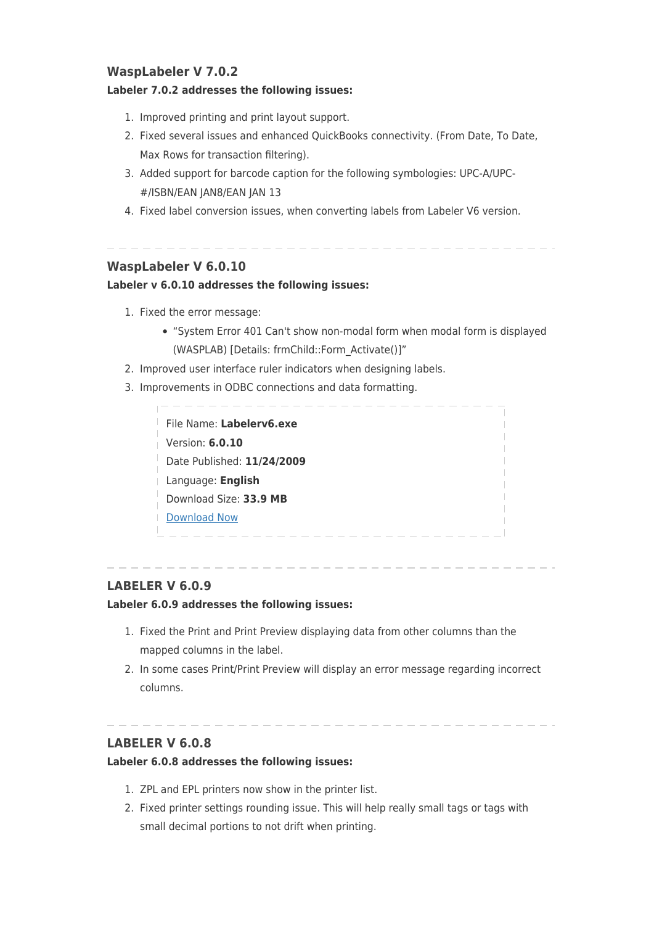# **WaspLabeler V 7.0.2**

#### **Labeler 7.0.2 addresses the following issues:**

- 1. Improved printing and print layout support.
- 2. Fixed several issues and enhanced QuickBooks connectivity. (From Date, To Date, Max Rows for transaction filtering).
- 3. Added support for barcode caption for the following symbologies: UPC-A/UPC- #/ISBN/EAN JAN8/EAN JAN 13
- 4. Fixed label conversion issues, when converting labels from Labeler V6 version.

### **WaspLabeler V 6.0.10**

#### **Labeler v 6.0.10 addresses the following issues:**

- 1. Fixed the error message:
	- "System Error 401 Can't show non-modal form when modal form is displayed (WASPLAB) [Details: frmChild::Form\_Activate()]"
- 2. Improved user interface ruler indicators when designing labels.
- 3. Improvements in ODBC connections and data formatting.

| File Name: Labelerv6.exe   |  |
|----------------------------|--|
| Version: 6.0.10            |  |
| Date Published: 11/24/2009 |  |
| Language: English          |  |
| Download Size: 33.9 MB     |  |
| Download Now               |  |
|                            |  |

## **LABELER V 6.0.9**

#### **Labeler 6.0.9 addresses the following issues:**

- 1. Fixed the Print and Print Preview displaying data from other columns than the mapped columns in the label.
- 2. In some cases Print/Print Preview will display an error message regarding incorrect columns.

# **LABELER V 6.0.8**

#### **Labeler 6.0.8 addresses the following issues:**

- 1. ZPL and EPL printers now show in the printer list.
- 2. Fixed printer settings rounding issue. This will help really small tags or tags with small decimal portions to not drift when printing.